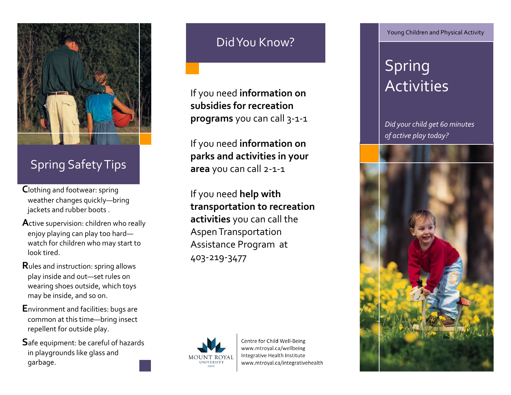

## Spring Safety Tips

- **C**lothing and footwear: spring weather changes quickly —bring jackets and rubber boots .
- **A**ctive supervision: children who really enjoy playing can play too hard watch for children who may start to look tired.
- **R**ules and instruction: spring allows play inside and out —set rules on wearing shoes outside, which toys may be inside, and so on.
- **E**nvironment and facilities: bugs are common at this time —bring insect repellent for outside play.
- **S**afe equipment: be careful of hazards in playgrounds like glass and garbage.

### Did You Know?

If you need **information on subsidies for recreation programs** you can call 3 - 1 - 1

If you need **information on parks and activities in your area** you can call 2 - 1 - 1

If you need **help with transportation to recreation activities** you can call the Aspen Transportation Assistance Program at 403 -219 -3477



Centre for Child Well-Being www.mtroyal.ca/wellbeing Integrative Health Institute www.mtroyal.ca/integrativehealth Young Children and Physical Activity

# Spring Activities

*Did your child get 60 minutes of active play today?*